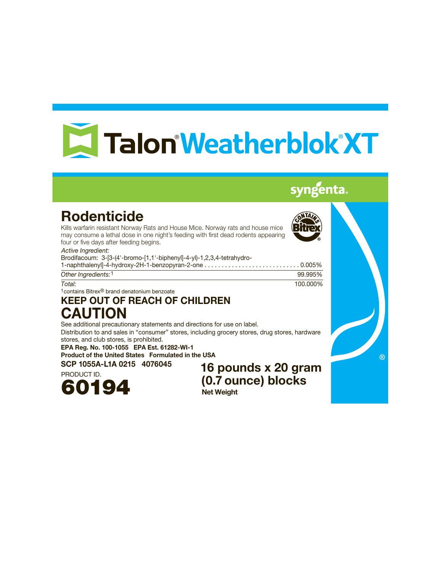# E Talon Weatherblok XT

# syngenta.

# Rodenticide

Kills warfarin resistant Norway Rats and House Mice. Norway rats and house mice may consume a lethal dose in one night's feeding with first dead rodents appearing four or five days after feeding begins.

*Active Ingredient:*

Brodifacoum: 3-[3-(4'-bromo-[1,1'-biphenyl]-4-yl)-1,2,3,4-tetrahydro-1-naphthalenyl]-4-hydroxy-2H-1-benzopyran-2-one . . . . . . . . . . . . . . . . . . . . . . . . . . . . 0.005%

| Other Ingredients: 1 | 99.995%  |
|----------------------|----------|
| Total:               | 100.000% |

1contains Bitrex® brand denatonium benzoate

# KEEP OUT OF REACH OF CHILDREN CAUTION

See additional precautionary statements and directions for use on label.

Distribution to and sales in "consumer" stores, including grocery stores, drug stores, hardware stores, and club stores, is prohibited.

EPA Reg. No. 100-1055 EPA Est. 61282-WI-1 Product of the United States Formulated in the USA



SCP 1055A-L1A 0215 4076045 16 pounds x 20 gram (0.7 ounce) blocks Net Weight

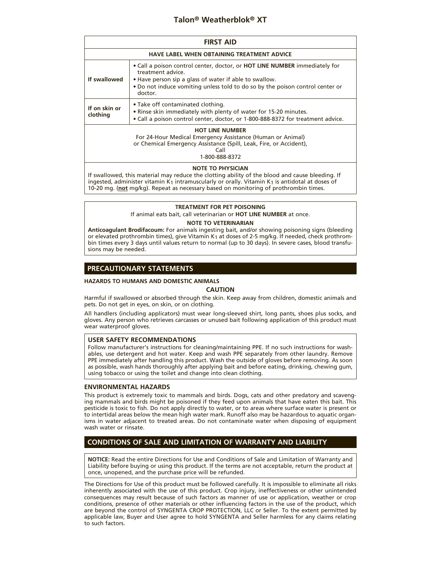# **Talon® Weatherblok® XT**

| <b>FIRST AID</b>                                                                                                                                                                     |                                                                                                                                                                                                                                                              |  |
|--------------------------------------------------------------------------------------------------------------------------------------------------------------------------------------|--------------------------------------------------------------------------------------------------------------------------------------------------------------------------------------------------------------------------------------------------------------|--|
| <b>HAVE LABEL WHEN OBTAINING TREATMENT ADVICE</b>                                                                                                                                    |                                                                                                                                                                                                                                                              |  |
| If swallowed                                                                                                                                                                         | • Call a poison control center, doctor, or <b>HOT LINE NUMBER</b> immediately for<br>treatment advice.<br>. Have person sip a glass of water if able to swallow.<br>. Do not induce vomiting unless told to do so by the poison control center or<br>doctor. |  |
| If on skin or<br>clothing                                                                                                                                                            | • Take off contaminated clothing.<br>• Rinse skin immediately with plenty of water for 15-20 minutes.<br>• Call a poison control center, doctor, or 1-800-888-8372 for treatment advice.                                                                     |  |
| <b>HOT LINE NUMBER</b><br>For 24-Hour Medical Emergency Assistance (Human or Animal)<br>or Chemical Emergency Assistance (Spill, Leak, Fire, or Accident),<br>Call<br>1-800-888-8372 |                                                                                                                                                                                                                                                              |  |

# **NOTE TO PHYSICIAN**

If swallowed, this material may reduce the clotting ability of the blood and cause bleeding. If ingested, administer vitamin K<sub>1</sub> intramuscularly or orally. Vitamin K<sub>1</sub> is antidotal at doses of 10-20 mg. (**not** mg/kg). Repeat as necessary based on monitoring of prothrombin times.

# **TREATMENT FOR PET POISONING**

If animal eats bait, call veterinarian or **HOT LINE NUMBER** at once.

# **NOTE TO VETERINARIAN**

**Anticoagulant Brodifacoum:** For animals ingesting bait, and/or showing poisoning signs (bleeding or elevated prothrombin times), give Vitamin K1 at doses of 2-5 mg/kg. If needed, check prothrombin times every 3 days until values return to normal (up to 30 days). In severe cases, blood transfusions may be needed.

# **PRECAUTIONARY STATEMENTS**

#### **HAZARDS TO HUMANS AND DOMESTIC ANIMALS**

# **CAUTION**

Harmful if swallowed or absorbed through the skin. Keep away from children, domestic animals and pets. Do not get in eyes, on skin, or on clothing.

All handlers (including applicators) must wear long-sleeved shirt, long pants, shoes plus socks, and gloves. Any person who retrieves carcasses or unused bait following application of this product must wear waterproof gloves.

# **USER SAFETY RECOMMENDATIONS**

Follow manufacturer's instructions for cleaning/maintaining PPE. If no such instructions for washables, use detergent and hot water. Keep and wash PPE separately from other laundry. Remove PPE immediately after handling this product. Wash the outside of gloves before removing. As soon as possible, wash hands thoroughly after applying bait and before eating, drinking, chewing gum, using tobacco or using the toilet and change into clean clothing.

#### **ENVIRONMENTAL HAZARDS**

This product is extremely toxic to mammals and birds. Dogs, cats and other predatory and scavenging mammals and birds might be poisoned if they feed upon animals that have eaten this bait. This pesticide is toxic to fish. Do not apply directly to water, or to areas where surface water is present or to intertidal areas below the mean high water mark. Runoff also may be hazardous to aquatic organisms in water adjacent to treated areas. Do not contaminate water when disposing of equipment wash water or rinsate.

# **CONDITIONS OF SALE AND LIMITATION OF WARRANTY AND LIABILITY**

**NOTICE:** Read the entire Directions for Use and Conditions of Sale and Limitation of Warranty and Liability before buying or using this product. If the terms are not acceptable, return the product at once, unopened, and the purchase price will be refunded.

The Directions for Use of this product must be followed carefully. It is impossible to eliminate all risks inherently associated with the use of this product. Crop injury, ineffectiveness or other unintended consequences may result because of such factors as manner of use or application, weather or crop conditions, presence of other materials or other influencing factors in the use of the product, which are beyond the control of SYNGENTA CROP PROTECTION, LLC or Seller. To the extent permitted by applicable law, Buyer and User agree to hold SYNGENTA and Seller harmless for any claims relating to such factors.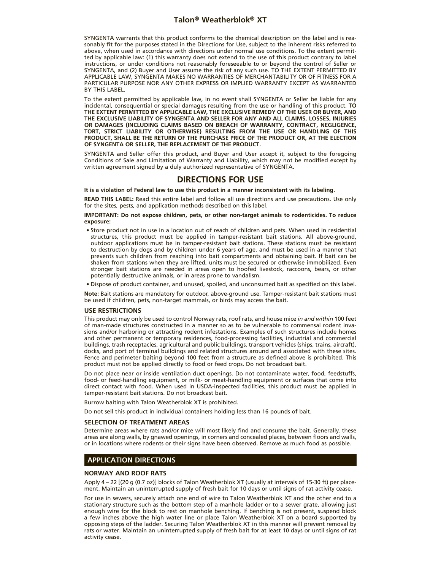SYNGENTA warrants that this product conforms to the chemical description on the label and is reasonably fit for the purposes stated in the Directions for Use, subject to the inherent risks referred to above, when used in accordance with directions under normal use conditions. To the extent permitted by applicable law: (1) this warranty does not extend to the use of this product contrary to label instructions, or under conditions not reasonably foreseeable to or beyond the control of Seller or SYNGENTA, and (2) Buyer and User assume the risk of any such use. TO THE EXTENT PERMITTED BY APPLICABLE LAW, SYNGENTA MAKES NO WARRANTIES OF MERCHANTABILITY OR OF FITNESS FOR A PARTICULAR PURPOSE NOR ANY OTHER EXPRESS OR IMPLIED WARRANTY EXCEPT AS WARRANTED BY THIS LABEL.

To the extent permitted by applicable law, in no event shall SYNGENTA or Seller be liable for any incidental, consequential or special damages resulting from the use or handling of this product. **TO THE EXTENT PERMITTED BY APPLICABLE LAW, THE EXCLUSIVE REMEDY OF THE USER OR BUYER, AND THE EXCLUSIVE LIABILITY OF SYNGENTA AND SELLER FOR ANY AND ALL CLAIMS, LOSSES, INJURIES OR DAMAGES (INCLUDING CLAIMS BASED ON BREACH OF WARRANTY, CONTRACT, NEGLIGENCE, TORT, STRICT LIABILITY OR OTHERWISE) RESULTING FROM THE USE OR HANDLING OF THIS PRODUCT, SHALL BE THE RETURN OF THE PURCHASE PRICE OF THE PRODUCT OR, AT THE ELECTION OF SYNGENTA OR SELLER, THE REPLACEMENT OF THE PRODUCT.**

SYNGENTA and Seller offer this product, and Buyer and User accept it, subject to the foregoing Conditions of Sale and Limitation of Warranty and Liability, which may not be modified except by written agreement signed by a duly authorized representative of SYNGENTA.

# **DIRECTIONS FOR USE**

**It is a violation of Federal law to use this product in a manner inconsistent with its labeling.**

**READ THIS LABEL:** Read this entire label and follow all use directions and use precautions. Use only for the sites, pests, and application methods described on this label.

**IMPORTANT: Do not expose children, pets, or other non-target animals to rodenticides. To reduce exposure:**

• Store product not in use in a location out of reach of children and pets. When used in residential structures, this product must be applied in tamper-resistant bait stations. All above-ground, outdoor applications must be in tamper-resistant bait stations. These stations must be resistant to destruction by dogs and by children under 6 years of age, and must be used in a manner that prevents such children from reaching into bait compartments and obtaining bait. If bait can be shaken from stations when they are lifted, units must be secured or otherwise immobilized. Even stronger bait stations are needed in areas open to hoofed livestock, raccoons, bears, or other potentially destructive animals, or in areas prone to vandalism.

• Dispose of product container, and unused, spoiled, and unconsumed bait as specified on this label.

**Note:** Bait stations are mandatory for outdoor, above-ground use. Tamper-resistant bait stations must be used if children, pets, non-target mammals, or birds may access the bait.

#### **USE RESTRICTIONS**

This product may only be used to control Norway rats, roof rats, and house mice *in and within* 100 feet of man-made structures constructed in a manner so as to be vulnerable to commensal rodent invasions and/or harboring or attracting rodent infestations. Examples of such structures include homes and other permanent or temporary residences, food-processing facilities, industrial and commercial buildings, trash receptacles, agricultural and public buildings, transport vehicles (ships, trains, aircraft), docks, and port of terminal buildings and related structures around and associated with these sites. Fence and perimeter baiting beyond 100 feet from a structure as defined above is prohibited. This product must not be applied directly to food or feed crops. Do not broadcast bait.

Do not place near or inside ventilation duct openings. Do not contaminate water, food, feedstuffs, food- or feed-handling equipment, or milk- or meat-handling equipment or surfaces that come into direct contact with food. When used in USDA-inspected facilities, this product must be applied in tamper-resistant bait stations. Do not broadcast bait.

Burrow baiting with Talon Weatherblok XT is prohibited.

Do not sell this product in individual containers holding less than 16 pounds of bait.

#### **SELECTION OF TREATMENT AREAS**

Determine areas where rats and/or mice will most likely find and consume the bait. Generally, these areas are along walls, by gnawed openings, in corners and concealed places, between floors and walls, or in locations where rodents or their signs have been observed. Remove as much food as possible.

# **APPLICATION DIRECTIONS**

#### **NORWAY AND ROOF RATS**

Apply 4 – 22 [(20 g (0.7 oz)] blocks of Talon Weatherblok XT (usually at intervals of 15-30 ft) per placement. Maintain an uninterrupted supply of fresh bait for 10 days or until signs of rat activity cease.

For use in sewers, securely attach one end of wire to Talon Weatherblok XT and the other end to a stationary structure such as the bottom step of a manhole ladder or to a sewer grate, allowing just enough wire for the block to rest on manhole benching. If benching is not present, suspend block a few inches above the high water line or place Talon Weatherblok XT on a board supported by opposing steps of the ladder. Securing Talon Weatherblok XT in this manner will prevent removal by rats or water. Maintain an uninterrupted supply of fresh bait for at least 10 days or until signs of rat activity cease.